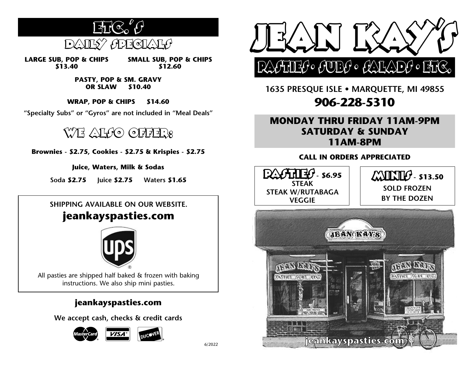

**LARGE SUB, POP & CHIPS \$13.40 SMALL SUB, POP & CHIPS \$12.60**

> **PASTY, POP & SM. GRAVY OR SLAW \$10.40**

**WRAP, POP & CHIPS \$14.60**

**"Specialty Subs" or "Gyros" are not included in "Meal Deals"**

## WE ALGO OFFER:

**Brownies - \$2.75, Cookies - \$2.75 & Krispies - \$2.75**

**Juice, Waters, Milk & Sodas**

**Soda \$2.75 Juice \$2.75 Waters \$1.65**

#### **SHIPPING AVAILABLE ON OUR WEBSITE.**

## **jeankayspasties.com**



All pasties are shipped half baked & frozen with baking instructions. We also ship mini pasties.

### **jeankayspasties.com**

**We accept cash, checks & credit cards**





**1635 PRESQUE ISLE • MARQUETTE, MI 49855 906-228-5310**

### **MONDAY THRU FRIDAY 11AM-9PM SATURDAY & SUNDAY 11AM-8PM**

#### **CALL IN ORDERS APPRECIATED**